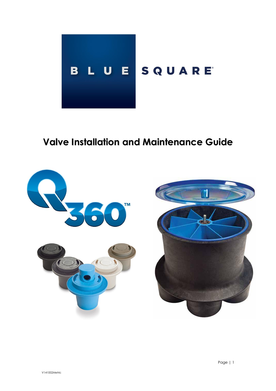

# **Valve Installation and Maintenance Guide**

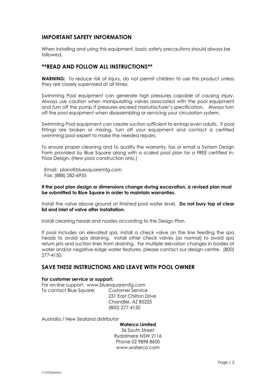# **IMPORTANT SAFETY INFORMATION**

When installing and using this equipment, basic safety precautions should always be followed.

## **\*\*READ AND FOLLOW ALL INSTRUCTIONS\*\***

**WARNING:** To reduce risk of injury, do not permit children to use this product unless they are closely supervised at all times.

Swimming Pool equipment can generate high pressures capable of causing injury. Always use caution when manipulating valves associated with the pool equipment and turn off the pump if pressures exceed manufacturer's specification. Always turn off the pool equipment when disassembling or servicing your circulation system.

Swimming Pool equipment can create suction sufficient to entrap even adults. If pool fittings are broken or missing, turn off your equipment and contact a certified swimming pool expert to make the needed repairs.

To ensure proper cleaning and to qualify the warranty, fax or email a System Design Form provided by Blue Square along with a scaled pool plan for a FREE certified In-Floor Design. (New pool construction only.)

 Email: plans@bluesquaremfg.com Fax: (888) 282-6955

**If the pool plan design or dimensions change during excavation, a revised plan must be submitted to Blue Square in order to maintain warranties.**

Install the valve above ground at finished pool water level. **Do not bury top of clear lid and inlet of valve after installation.**

Install cleaning heads and nozzles according to the Design Plan.

If pool includes an elevated spa, install a check valve on the line feeding the spa heads to avoid spa draining. Install other check valves (as normal) to avoid spa return jets and suction lines from draining. For multiple elevation changes in bodies of water and/or negative edge water features, please contact our design centre. (800) 277-4150.

# **SAVE THESE INSTRUCTIONS AND LEAVE WITH POOL OWNER**

#### **For customer service or support:**

For on-line support: www.bluesquaremfg.com To contact Blue Square: Customer Service

231 East Chilton Drive Chandler, AZ 85225 (800) 277-4150

Australia / New Zealand distributor

**Waterco Limited** 36 South Street Rydalmere NSW 2116 Phone 02 9898 8600 www.waterco.com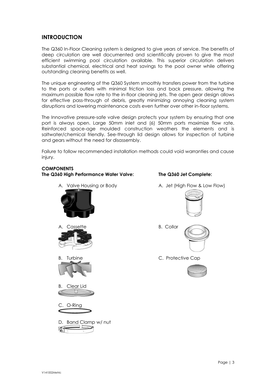# **INTRODUCTION**

The Q360 In-Floor Cleaning system is designed to give years of service. The benefits of deep circulation are well documented and scientifically proven to give the most efficient swimming pool circulation available. This superior circulation delivers substantial chemical, electrical and heat savings to the pool owner while offering outstanding cleaning benefits as well.

The unique engineering of the Q360 System smoothly transfers power from the turbine to the ports or outlets with minimal friction loss and back pressure, allowing the maximum possible flow rate to the [in-floor cleaning jets.](http://www.bluesquaremfg.com/products/q360-cleaning-jets) The open gear design allows for effective pass-through of debris, greatly minimizing annoying cleaning system disruptions and lowering maintenance costs even further over other in-floor systems.

The Innovative pressure-safe valve design protects your system by ensuring that one port is always open. Large 50mm inlet and (6) 50mm ports maximize flow rate. Reinforced space-age moulded construction weathers the elements and is saltwater/chemical friendly. See-through lid design allows for inspection of turbine and gears without the need for disassembly.

Failure to follow recommended installation methods could void warranties and cause injury.

# **COMPONENTS**

**The Q360 High Performance Water Valve: The Q360 Jet Complete:** 

A. Valve Housing or Body **A. Jet (High Flow & Low Flow)** 



D. Band Clamp w/ nut







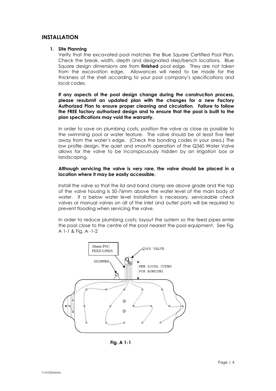# **INSTALLATION**

#### **1. Site Planning**

Verify that the excavated pool matches the Blue Square Certified Pool Plan. Check the break, width, depth and designated step/bench locations. Blue Square design dimensions are from **finished** pool edge. They are not taken from the excavation edge. Allowances will need to be made for the thickness of the shell according to your pool company's specifications and local codes.

**If any aspects of the pool design change during the construction process, please resubmit an updated plan with the changes for a new Factory Authorized Plan to ensure proper cleaning and circulation. Failure to follow the FREE factory authorized design and to ensure that the pool is built to the plan specifications may void the warranty.**

In order to save on plumbing costs, position the valve as close as possible to the swimming pool or water feature. The valve should be at least five feet away from the water's edge. (Check the bonding codes in your area.) The low profile design, the quiet and smooth operation of the Q360 Water Valve allows for the valve to be inconspicuously hidden by an irrigation box or landscaping.

#### **Although servicing the valve is very rare, the valve should be placed in a location where it may be easily accessible.**

Install the valve so that the lid and band clamp are above grade and the top of the valve housing is 50-76mm above the water level of the main body of water. If a below water level installation is necessary, serviceable check valves or manual valves on all of the inlet and outlet ports will be required to prevent flooding when servicing the valve.

In order to reduce plumbing costs; layout the system so the feed pipes enter the pool close to the centre of the pool nearest the pool equipment. See Fig. A 1-1 & Fig. A -1-2



 **Fig. A 1-1**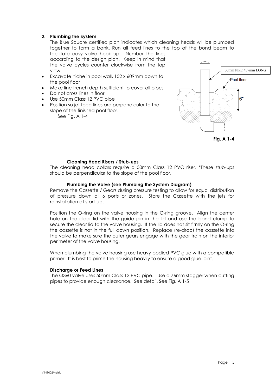#### **2. Plumbing the System**

The Blue Square certified plan indicates which cleaning heads will be plumbed together to form a bank. Run all feed lines to the top of the bond beam to facilitate easy valve hook up. Number the lines

according to the design plan. Keep in mind that the valve cycles counter clockwise from the top view.

- Excavate niche in pool wall, 152 x 609mm down to the pool floor
- Make line trench depth sufficient to cover all pipes
- Do not cross lines in floor
- Use 50mm Class 12 PVC pipe
- Position so jet feed lines are perpendicular to the slope of the finished pool floor.

See Fig. A 1-4



# **Fig. A 1-4**

#### **Cleaning Head Risers / Stub-ups**

The cleaning head collars require a 50mm Class 12 PVC riser. \*These stub-ups should be perpendicular to the slope of the pool floor.

#### **Plumbing the Valve (see Plumbing the System Diagram)**

Remove the Cassette / Gears during pressure testing to allow for equal distribution of pressure down all 6 ports or zones. Store the Cassette with the jets for reinstallation at start-up.

Position the O-ring on the valve housing in the O-ring groove. Align the center hole on the clear lid with the guide pin in the lid and use the band clamp to secure the clear lid to the valve housing. If the lid does not sit firmly on the O-ring the cassette is not in the full down position. Replace (re-drop) the cassette into the valve to make sure the outer gears engage with the gear train on the interior perimeter of the valve housing.

When plumbing the valve housing use heavy bodied PVC glue with a compatible primer. It is best to prime the housing heavily to ensure a good glue joint.

#### **Discharge or Feed Lines**

The Q360 valve uses 50mm Class 12 PVC pipe. Use a 76mm stagger when cutting pipes to provide enough clearance. See detail. See Fig. A 1-5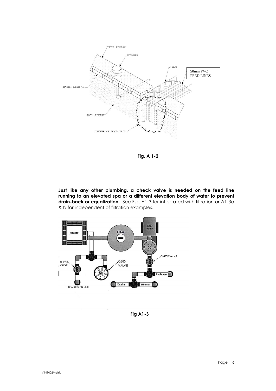

 **Fig. A 1-2**

**Just like any other plumbing, a check valve is needed on the feed line running to an elevated spa or a different elevation body of water to prevent drain-back or equalization.** See Fig. A1-3 for integrated with filtration or A1-3a & b for independent of filtration examples.



 **Fig A1-3**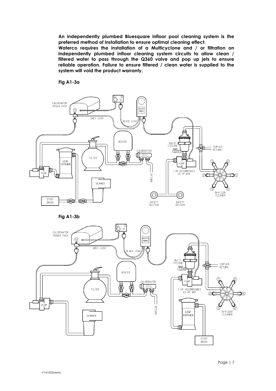**An independently plumbed Bluesquare infloor pool cleaning system is the preferred method of installation to ensure optimal cleaning effect.**

**Waterco requires the installation of a Multicyclone and / or filtration on independently plumbed infloor cleaning system circuits to allow clean / filtered water to pass through the Q360 valve and pop up jets to ensure reliable operation. Failure to ensure filtered / clean water is supplied to the system will void the product warranty.**

#### **Fig A1-3a**

![](_page_6_Figure_3.jpeg)

**Fig A1-3b**

![](_page_6_Figure_5.jpeg)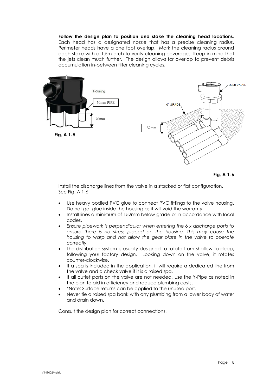**Follow the design plan to position and stake the cleaning head locations.** Each head has a designated nozzle that has a precise cleaning radius. Perimeter heads have a one foot overlap. Mark the cleaning radius around each stake with a 1.5m arch to verify cleaning coverage. Keep in mind that the jets clean much further. The design allows for overlap to prevent debris accumulation in-between filter cleaning cycles.

![](_page_7_Figure_1.jpeg)

**Fig. A 1-6**

Install the discharge lines from the valve in a stacked or flat configuration. See Fig. A 1-6

- Use heavy bodied PVC glue to connect PVC fittings to the valve housing. Do not get glue inside the housing as it will void the warranty.
- Install lines a minimum of 152mm below grade or in accordance with local codes.
- *Ensure pipework is perpendicular when entering the 6 x discharge ports to ensure there is no stress placed on the housing. This may cause the housing to warp and not allow the gear plate in the valve to operate correctly.*
- The distribution system is usually designed to rotate from shallow to deep, following your factory design. Looking down on the valve, it rotates counter-clockwise.
- If a spa is included in the application, it will require a dedicated line from the valve and a check valve if it is a raised spa.
- If all outlet ports on the valve are not needed, use the Y-Pipe as noted in the plan to aid in efficiency and reduce plumbing costs.
- \*Note: Surface returns can be applied to the unused port.
- Never tie a raised spa bank with any plumbing from a lower body of water and drain down.

Consult the design plan for correct connections.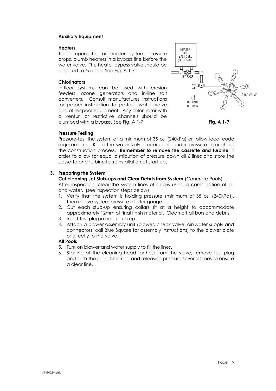#### **Auxiliary Equipment**

#### **Heaters**

To compensate for heater system pressure drops, plumb heaters in a bypass line before the water valve. The heater bypass valve should be adjusted to ¾ open. See Fig. A 1-7

#### **Chlorinators**

In-floor systems can be used with erosion feeders, ozone generators and in-line salt converters. Consult manufactures instructions for proper installation to protect water valve and other pool equipment. Any chlorinator with a venturi or restrictive channels should be plumbed with a bypass. See Fig. A 1-7 **Fig. A 1-7**

![](_page_8_Figure_5.jpeg)

### **Pressure Testing**

Pressure-test the system at a minimum of 35 psi (240kPa) or follow local code requirements. Keep the water valve secure and under pressure throughout the construction process. **Remember to remove the cassette and turbine** in order to allow for equal distribution of pressure down all 6 lines and store the cassette and turbine for reinstallation at start-up.

### **3. Preparing the System**

**Cut cleaning Jet Stub-ups and Clear Debris from System** (Concrete Pools) After inspection, clear the system lines of debris using a combination of air and water. (see inspection steps below)

- 1. Verify that the system is holding pressure (minimum of 35 psi (240kPa)), then relieve system pressure at filter gauge.
- 2. Cut each stub-up ensuring collars sit at a height to accommodate approximately 12mm of final finish material. Clean off all burs and debris.
- 3. Insert test plug in each stub up.
- 4. Attach a blower assembly unit (blower, check valve, air/water supply and connectors; call Blue Square for assembly instructions) to the blower plate or directly to the valve.

### **All Pools**

- 5. Turn on blower and water supply to fill the lines.
- 6. Starting at the cleaning head farthest from the valve, remove test plug and flush the pipe, blocking and releasing pressure several times to ensure a clear line.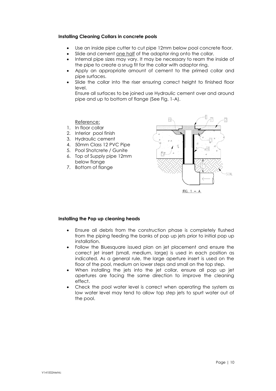#### **Installing Cleaning Collars in concrete pools**

- Use an inside pipe cutter to cut pipe 12mm below pool concrete floor.
- Slide and cement one half of the adaptor ring onto the collar.
- Internal pipe sizes may vary. It may be necessary to ream the inside of the pipe to create a snug fit for the collar with adaptor ring.
- Apply an appropriate amount of cement to the primed collar and pipe surfaces.
- Slide the collar into the riser ensuring correct height to finished floor level.

Ensure all surfaces to be joined use Hydraulic cement over and around pipe and up to bottom of flange (See Fig, 1-A).

#### Reference:

- 1. In floor collar
- 2. Interior pool finish
- 3. Hydraulic cement
- 4. 50mm Class 12 PVC Pipe
- 5. Pool Shotcrete / Gunite
- 6. Top of Supply pipe 12mm below flange
- 7. Bottom of flange

![](_page_9_Figure_15.jpeg)

#### **Installing the Pop up cleaning heads**

- Ensure all debris from the construction phase is completely flushed from the piping feeding the banks of pop up jets prior to initial pop up installation.
- Follow the Bluesquare issued plan on jet placement and ensure the correct jet insert (small, medium, large) is used in each position as indicated. As a general rule, the large aperture insert is used on the floor of the pool, medium on lower steps and small on the top step.
- When installing the jets into the jet collar, ensure all pop up jet apertures are facing the same direction to improve the cleaning effect.
- Check the pool water level is correct when operating the system as low water level may tend to allow top step jets to spurt water out of the pool.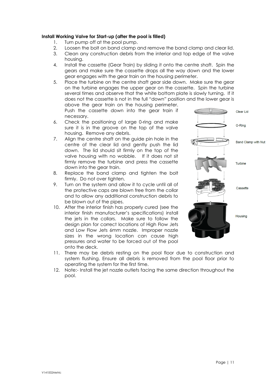#### **Install Working Valve for Start-up (after the pool is filled)**

- 1. Turn pump off at the pool pump.
- 2. Loosen the bolt on band clamp and remove the band clamp and clear lid.
- 3. Clean any construction debris from the interior and top edge of the valve housing.
- 4. Install the cassette (Gear Train) by sliding it onto the centre shaft. Spin the gears and make sure the cassette drops all the way down and the lower gear engages with the gear train on the housing perimeter.
- 5. Place the turbine on the centre shaft gear side down. Make sure the gear on the turbine engages the upper gear on the cassette. Spin the turbine several times and observe that the white bottom plate is slowly turning. If it does not the cassette is not in the full "down" position and the lower gear is above the gear train on the housing perimeter.

Push the cassette down into the gear train if necessary.

- 6. Check the positioning of large 0-ring and make sure it is in the groove on the top of the valve housing. Remove any debris.
- 7. Align the centre shaft on the guide pin hole in the centre of the clear lid and gently push the lid down. The lid should sit firmly on the top of the valve housing with no wobble. If it does not sit firmly remove the turbine and press the cassette down into the gear train.
- 8. Replace the band clamp and tighten the bolt firmly. Do not over tighten.
- 9. Turn on the system and allow it to cycle until all of the protective caps are blown free from the collar and to allow any additional construction debris to be blown out of the pipes.
- 10. After the interior finish has properly cured (see the interior finish manufacturer's specifications) install the jets in the collars. Make sure to follow the design plan for correct locations of High Flow Jets and Low Flow Jets 6mm nozzle. Improper nozzle sizes in the wrong location can cause high pressures and water to be forced out of the pool onto the deck.

![](_page_10_Figure_12.jpeg)

- 11. There may be debris resting on the pool floor due to construction and system flushing. Ensure all debris is removed from the pool floor prior to operating the system for the first time.
- 12. Note:- Install the jet nozzle outlets facing the same direction throughout the pool.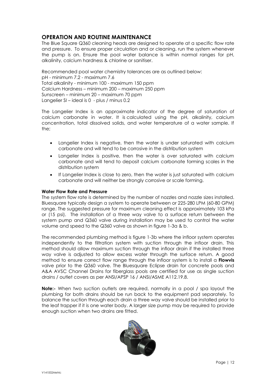# **OPERATION AND ROUTINE MAINTENANCE**

The Blue Square Q360 cleaning heads are designed to operate at a specific flow rate and pressure. To ensure proper circulation and or cleaning, run the system whenever the pump is on. Ensure the pool water balance is within normal ranges for pH, alkalinity, calcium hardness & chlorine or sanitiser.

Recommended pool water chemistry tolerances are as outlined below: pH - minimum 7.2 - maximum 7.6 Total alkalinity - minimum 100 - maximum 150 ppm Calcium Hardness – minimum 200 – maximum 250 ppm Sunscreen – minimum 20 – maximum 70 ppm Langelier SI – ideal is 0 - plus / minus 0.2

The Langelier Index is an approximate indicator of the degree of saturation of calcium carbonate in water. It is calculated using the pH, alkalinity, calcium concentration, total dissolved solids, and water temperature of a water sample. If the;

- Langelier Index is negative, then the water is under saturated with calcium carbonate and will tend to be corrosive in the distribution system
- Langelier Index is positive, then the water is over saturated with calcium carbonate and will tend to deposit calcium carbonate forming scales in the distribution system
- If Langelier Index is close to zero, then the water is just saturated with calcium carbonate and will neither be strongly corrosive or scale forming.

#### **Water Flow Rate and Pressure**

The system flow rate is determined by the number of nozzles and nozzle sizes installed. Bluesquare typically design a system to operate between or 225-280 LPM (60-80 GPM) range. The suggested pressure for maximum cleaning effect is approximately 103 kPa or (15 psi). The installation of a three way valve to a surface return between the system pump and Q360 valve during installation may be used to control the water volume and speed to the Q360 valve as shown in figure 1-3a & b.

The recommended plumbing method is figure 1-3b where the infloor system operates independently to the filtration system with suction through the infloor drain. This method should allow maximum suction through the infloor drain if the installed three way valve is adjusted to allow excess water through the surface return. A good method to ensure correct flow range through the infloor system is to install a **Flowvis**  valve prior to the Q360 valve. The Bluesquare Eclipse drain for concrete pools and A&A AVSC Channel Drains for fiberglass pools are certified for use as single suction drains / outlet covers as per ANSI/APSP 16 / ANSI/ASME A112.19.8.

**Note:-** When two suction outlets are required, normally in a pool / spa layout the plumbing for both drains should be run back to the equipment pad separately. To balance the suction through each drain a three way valve should be installed prior to the leaf trapper if it is one water body. A larger size pump may be required to provide enough suction when two drains are fitted.

![](_page_11_Picture_11.jpeg)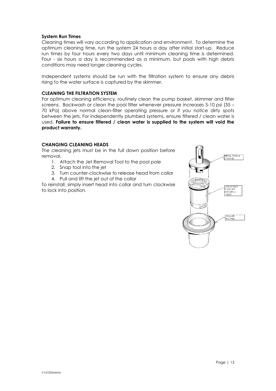#### **System Run Times**

Cleaning times will vary according to application and environment. To determine the optimum cleaning time, run the system 24 hours a day after initial start-up. Reduce run times by four hours every two days until minimum cleaning time is determined. Four - six hours a day is recommended as a minimum, but pools with high debris conditions may need longer cleaning cycles.

Independent systems should be run with the filtration system to ensure any debris rising to the water surface is captured by the skimmer.

#### **CLEANING THE FILTRATION SYSTEM**

For optimum cleaning efficiency, routinely clean the pump basket, skimmer and filter screens. Backwash or clean the pool filter whenever pressure increases 5-10 psi (35 – 70 kPa) above normal clean-filter operating pressure or if you notice dirty spots between the jets. For independently plumbed systems, ensure filtered / clean water is used. **Failure to ensure filtered / clean water is supplied to the system will void the product warranty.**

#### **CHANGING CLEANING HEADS**

The cleaning jets must be in the full down position before removal.

- 1. Attach the Jet Removal Tool to the pool pole
- 2. Snap tool into the jet
- 3. Turn counter-clockwise to release head from collar
- 4. Pull and lift the jet out of the collar

To reinstall, simply insert head into collar and turn clockwise to lock into position.

![](_page_12_Figure_12.jpeg)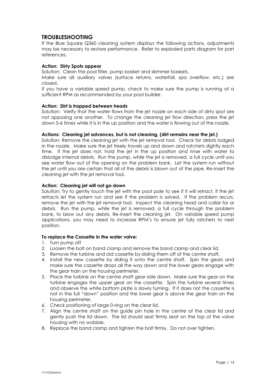# **TROUBLESHOOTING**

If the Blue Square Q360 cleaning system displays the following actions, adjustments may be necessary to restore performance. Refer to exploded parts diagram for part references.

#### **Action: Dirty Spots appear**

Solution: Clean the pool filter, pump basket and skimmer baskets.

Make sure all auxiliary valves (surface returns, waterfall, spa overflow, etc.) are closed.

If you have a variable speed pump, check to make sure the pump is running at a sufficient RPM as recommended by your pool builder.

#### **Action: Dirt is trapped between heads**

Solution: Verify that the water flows from the jet nozzle on each side of dirty spot are not apposing one another. To change the cleaning jet flow direction, press the jet down 5-6 times while it is in the up position and the water is flowing out of the nozzle.

#### **Actions: Cleaning jet advances, but is not cleaning, (dirt remains near the jet.)**

Solution: Remove the cleaning jet with the jet removal tool. Check for debris lodged in the nozzle. Make sure the jet freely travels up and down and ratchets slightly each time. If the jet does not, hold the jet in the up position and rinse with water to dislodge internal debris. Run the pump, while the jet is removed, a full cycle until you see water flow out of the opening on the problem bank. Let the system run without the jet until you are certain that all of the debris is blown out of the pipe. Re-insert the cleaning jet with the jet removal tool.

#### **Action: Cleaning jet will not go down**

Solution: Try to gently touch the jet with the pool pole to see if it will retract, if the jet retracts let the system run and see if the problem is solved. If the problem recurs, remove the jet with the jet removal tool. Inspect the cleaning head and collar for or debris. Run the pump, while the jet is removed, a full cycle through the problem bank, to blow out any debris. Re-insert the cleaning jet. On variable speed pump applications, you may need to increase RPM's to ensure jet fully ratchets to next position.

#### **To replace the Cassette in the water valve:**

- 1. Turn pump off
- 2. Loosen the bolt on band clamp and remove the band clamp and clear lid.
- 3. Remove the turbine and old cassette by sliding them off of the centre shaft.
- 4. Install the new cassette by sliding it onto the centre shaft. Spin the gears and make sure the cassette drops all the way down and the lower gears engage with the gear train on the housing perimeter.
- 5. Place the turbine on the centre shaft gear side down. Make sure the gear on the turbine engages the upper gear on the cassette. Spin the turbine several times and observe the white bottom plate is slowly turning. If it does not the cassette is not in the full "down" position and the lower gear is above the gear train on the housing perimeter.
- 6. Check positioning of large 0-ring on the clear lid.
- 7. Align the centre shaft on the guide pin hole in the centre of the clear lid and gently push the lid down. The lid should seat firmly seat on the top of the valve housing with no wobble.
- 8. Replace the band clamp and tighten the bolt firmly. Do not over tighten.